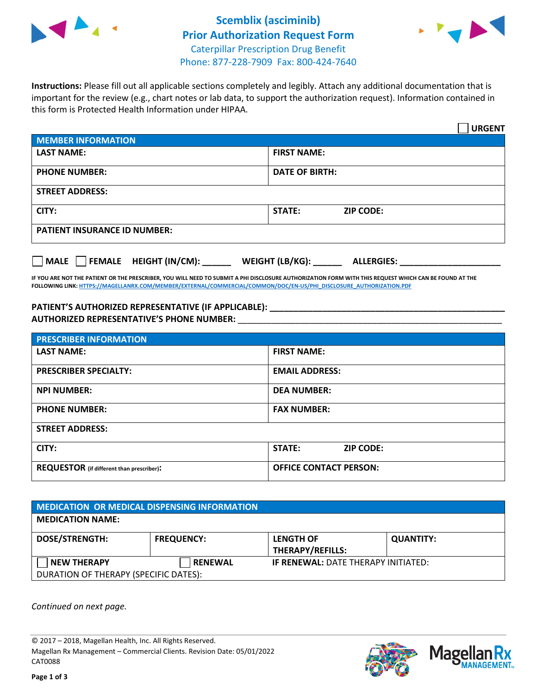



**Instructions:** Please fill out all applicable sections completely and legibly. Attach any additional documentation that is important for the review (e.g., chart notes or lab data, to support the authorization request). Information contained in this form is Protected Health Information under HIPAA.

|                                     | <b>URGENT</b>                        |  |  |  |
|-------------------------------------|--------------------------------------|--|--|--|
| <b>MEMBER INFORMATION</b>           |                                      |  |  |  |
| <b>LAST NAME:</b>                   | <b>FIRST NAME:</b>                   |  |  |  |
| <b>PHONE NUMBER:</b>                | <b>DATE OF BIRTH:</b>                |  |  |  |
| <b>STREET ADDRESS:</b>              |                                      |  |  |  |
| CITY:                               | <b>ZIP CODE:</b><br>STATE:           |  |  |  |
| <b>PATIENT INSURANCE ID NUMBER:</b> |                                      |  |  |  |
| FEMALE HEIGHT (IN/CM):<br>   MALE   | WEIGHT (LB/KG):<br><b>ALLERGIES:</b> |  |  |  |

**IF YOU ARE NOT THE PATIENT OR THE PRESCRIBER, YOU WILL NEED TO SUBMIT A PHI DISCLOSURE AUTHORIZATION FORM WITH THIS REQUEST WHICH CAN BE FOUND AT THE FOLLOWING LINK[: HTTPS://MAGELLANRX.COM/MEMBER/EXTERNAL/COMMERCIAL/COMMON/DOC/EN-US/PHI\\_DISCLOSURE\\_AUTHORIZATION.PDF](https://magellanrx.com/member/external/commercial/common/doc/en-us/PHI_Disclosure_Authorization.pdf)**

**PATIENT'S AUTHORIZED REPRESENTATIVE (IF APPLICABLE): \_\_\_\_\_\_\_\_\_\_\_\_\_\_\_\_\_\_\_\_\_\_\_\_\_\_\_\_\_\_\_\_\_\_\_\_\_\_\_\_\_\_\_\_\_\_\_\_\_ AUTHORIZED REPRESENTATIVE'S PHONE NUMBER:** \_\_\_\_\_\_\_\_\_\_\_\_\_\_\_\_\_\_\_\_\_\_\_\_\_\_\_\_\_\_\_\_\_\_\_\_\_\_\_\_\_\_\_\_\_\_\_\_\_\_\_\_\_\_\_

| <b>PRESCRIBER INFORMATION</b>             |                               |  |  |  |
|-------------------------------------------|-------------------------------|--|--|--|
| <b>LAST NAME:</b>                         | <b>FIRST NAME:</b>            |  |  |  |
| <b>PRESCRIBER SPECIALTY:</b>              | <b>EMAIL ADDRESS:</b>         |  |  |  |
| <b>NPI NUMBER:</b>                        | <b>DEA NUMBER:</b>            |  |  |  |
| <b>PHONE NUMBER:</b>                      | <b>FAX NUMBER:</b>            |  |  |  |
| <b>STREET ADDRESS:</b>                    |                               |  |  |  |
| CITY:                                     | STATE:<br><b>ZIP CODE:</b>    |  |  |  |
| REQUESTOR (if different than prescriber): | <b>OFFICE CONTACT PERSON:</b> |  |  |  |

| <b>MEDICATION OR MEDICAL DISPENSING INFORMATION</b> |                   |                                             |                  |  |
|-----------------------------------------------------|-------------------|---------------------------------------------|------------------|--|
| <b>MEDICATION NAME:</b>                             |                   |                                             |                  |  |
| <b>DOSE/STRENGTH:</b>                               | <b>FREQUENCY:</b> | <b>LENGTH OF</b><br><b>THERAPY/REFILLS:</b> | <b>QUANTITY:</b> |  |
| <b>NEW THERAPY</b>                                  | <b>RENEWAL</b>    | <b>IF RENEWAL: DATE THERAPY INITIATED:</b>  |                  |  |
| DURATION OF THERAPY (SPECIFIC DATES):               |                   |                                             |                  |  |

*Continued on next page.*

© 2017 – 2018, Magellan Health, Inc. All Rights Reserved. Magellan Rx Management – Commercial Clients. Revision Date: 05/01/2022 CAT0088



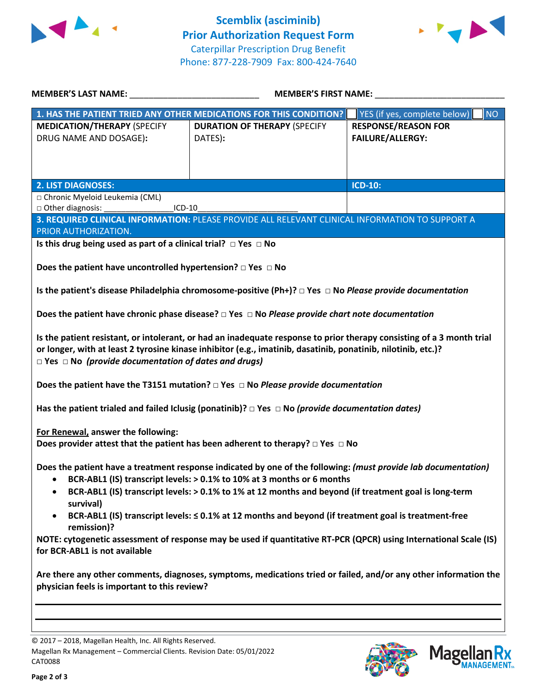



| MEMBER'S LAST NAME: NAME:                                                                                                                                                                                                                                                                                 | <b>MEMBER'S FIRST NAME:</b> NAME:                                                                          |                                           |  |  |
|-----------------------------------------------------------------------------------------------------------------------------------------------------------------------------------------------------------------------------------------------------------------------------------------------------------|------------------------------------------------------------------------------------------------------------|-------------------------------------------|--|--|
|                                                                                                                                                                                                                                                                                                           | 1. HAS THE PATIENT TRIED ANY OTHER MEDICATIONS FOR THIS CONDITION?                                         | YES (if yes, complete below)<br><b>NO</b> |  |  |
| <b>MEDICATION/THERAPY (SPECIFY</b>                                                                                                                                                                                                                                                                        | <b>DURATION OF THERAPY (SPECIFY</b>                                                                        | <b>RESPONSE/REASON FOR</b>                |  |  |
| DRUG NAME AND DOSAGE):                                                                                                                                                                                                                                                                                    | DATES):                                                                                                    | <b>FAILURE/ALLERGY:</b>                   |  |  |
|                                                                                                                                                                                                                                                                                                           |                                                                                                            |                                           |  |  |
|                                                                                                                                                                                                                                                                                                           |                                                                                                            |                                           |  |  |
|                                                                                                                                                                                                                                                                                                           |                                                                                                            |                                           |  |  |
| <b>2. LIST DIAGNOSES:</b>                                                                                                                                                                                                                                                                                 |                                                                                                            | <b>ICD-10:</b>                            |  |  |
| □ Chronic Myeloid Leukemia (CML)                                                                                                                                                                                                                                                                          |                                                                                                            |                                           |  |  |
| □ Other diagnosis:<br>$ICD-10$                                                                                                                                                                                                                                                                            |                                                                                                            |                                           |  |  |
| PRIOR AUTHORIZATION.                                                                                                                                                                                                                                                                                      | 3. REQUIRED CLINICAL INFORMATION: PLEASE PROVIDE ALL RELEVANT CLINICAL INFORMATION TO SUPPORT A            |                                           |  |  |
| Is this drug being used as part of a clinical trial? $\Box$ Yes $\Box$ No                                                                                                                                                                                                                                 |                                                                                                            |                                           |  |  |
|                                                                                                                                                                                                                                                                                                           |                                                                                                            |                                           |  |  |
| Does the patient have uncontrolled hypertension? $\Box$ Yes $\Box$ No                                                                                                                                                                                                                                     |                                                                                                            |                                           |  |  |
|                                                                                                                                                                                                                                                                                                           |                                                                                                            |                                           |  |  |
| Is the patient's disease Philadelphia chromosome-positive (Ph+)? $\Box$ Yes $\Box$ No Please provide documentation                                                                                                                                                                                        |                                                                                                            |                                           |  |  |
| Does the patient have chronic phase disease? $\Box$ Yes $\Box$ No Please provide chart note documentation                                                                                                                                                                                                 |                                                                                                            |                                           |  |  |
|                                                                                                                                                                                                                                                                                                           |                                                                                                            |                                           |  |  |
| Is the patient resistant, or intolerant, or had an inadequate response to prior therapy consisting of a 3 month trial<br>or longer, with at least 2 tyrosine kinase inhibitor (e.g., imatinib, dasatinib, ponatinib, nilotinib, etc.)?<br>$\Box$ Yes $\Box$ No (provide documentation of dates and drugs) |                                                                                                            |                                           |  |  |
| Does the patient have the T3151 mutation? $\Box$ Yes $\Box$ No Please provide documentation                                                                                                                                                                                                               |                                                                                                            |                                           |  |  |
|                                                                                                                                                                                                                                                                                                           | Has the patient trialed and failed Iclusig (ponatinib)? $\Box$ Yes $\Box$ No (provide documentation dates) |                                           |  |  |
| For Renewal, answer the following:                                                                                                                                                                                                                                                                        |                                                                                                            |                                           |  |  |
| Does provider attest that the patient has been adherent to therapy? $\Box$ Yes $\Box$ No                                                                                                                                                                                                                  |                                                                                                            |                                           |  |  |
| Does the patient have a treatment response indicated by one of the following: (must provide lab documentation)<br>BCR-ABL1 (IS) transcript levels: > 0.1% to 10% at 3 months or 6 months<br>BCR-ABL1 (IS) transcript levels: > 0.1% to 1% at 12 months and beyond (if treatment goal is long-term         |                                                                                                            |                                           |  |  |
| survival)<br>BCR-ABL1 (IS) transcript levels: ≤ 0.1% at 12 months and beyond (if treatment goal is treatment-free<br>remission)?                                                                                                                                                                          |                                                                                                            |                                           |  |  |
| NOTE: cytogenetic assessment of response may be used if quantitative RT-PCR (QPCR) using International Scale (IS)<br>for BCR-ABL1 is not available                                                                                                                                                        |                                                                                                            |                                           |  |  |
| Are there any other comments, diagnoses, symptoms, medications tried or failed, and/or any other information the<br>physician feels is important to this review?                                                                                                                                          |                                                                                                            |                                           |  |  |

© 2017 – 2018, Magellan Health, Inc. All Rights Reserved. Magellan Rx Management – Commercial Clients. Revision Date: 05/01/2022 CAT0088